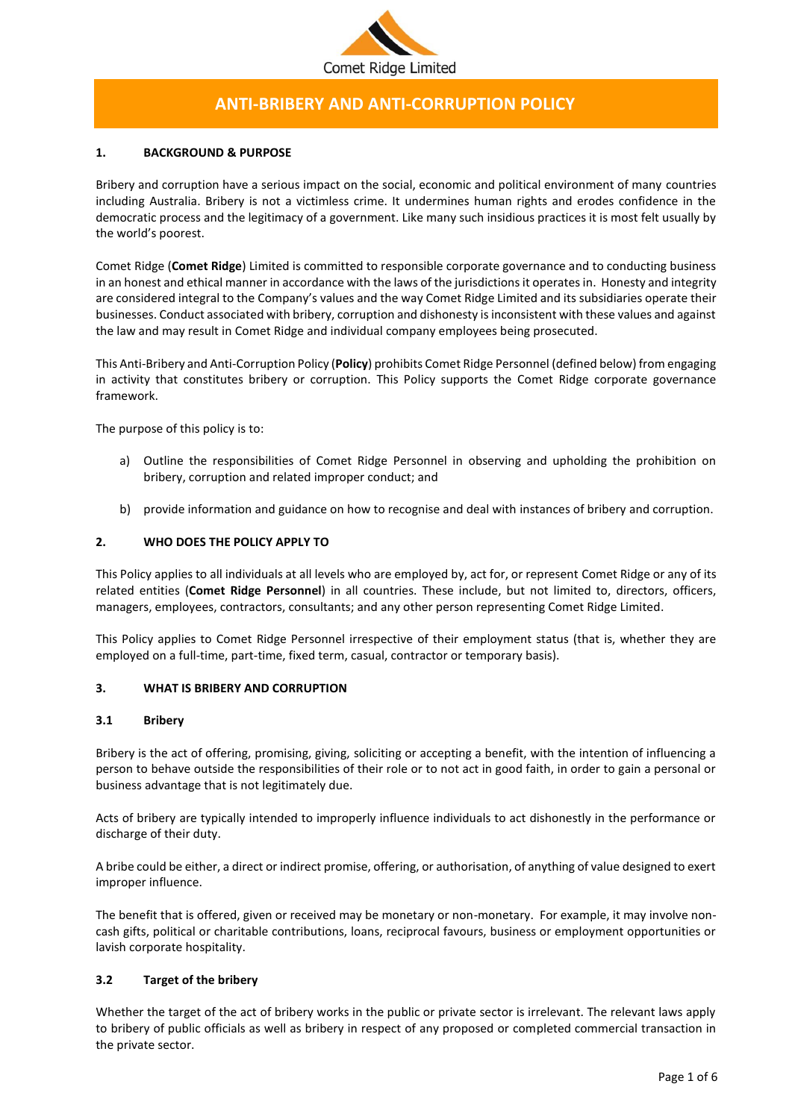

# **ANTI-BRIBERY AND ANTI-CORRUPTION POLICY**

# **1. BACKGROUND & PURPOSE**

Bribery and corruption have a serious impact on the social, economic and political environment of many countries including Australia. Bribery is not a victimless crime. It undermines human rights and erodes confidence in the democratic process and the legitimacy of a government. Like many such insidious practices it is most felt usually by the world's poorest.

Comet Ridge (**Comet Ridge**) Limited is committed to responsible corporate governance and to conducting business in an honest and ethical manner in accordance with the laws of the jurisdictions it operates in. Honesty and integrity are considered integral to the Company's values and the way Comet Ridge Limited and its subsidiaries operate their businesses. Conduct associated with bribery, corruption and dishonesty is inconsistent with these values and against the law and may result in Comet Ridge and individual company employees being prosecuted.

This Anti-Bribery and Anti-Corruption Policy (**Policy**) prohibits Comet Ridge Personnel (defined below) from engaging in activity that constitutes bribery or corruption. This Policy supports the Comet Ridge corporate governance framework.

The purpose of this policy is to:

- a) Outline the responsibilities of Comet Ridge Personnel in observing and upholding the prohibition on bribery, corruption and related improper conduct; and
- b) provide information and guidance on how to recognise and deal with instances of bribery and corruption.

# **2. WHO DOES THE POLICY APPLY TO**

This Policy applies to all individuals at all levels who are employed by, act for, or represent Comet Ridge or any of its related entities (**Comet Ridge Personnel**) in all countries. These include, but not limited to, directors, officers, managers, employees, contractors, consultants; and any other person representing Comet Ridge Limited.

This Policy applies to Comet Ridge Personnel irrespective of their employment status (that is, whether they are employed on a full-time, part-time, fixed term, casual, contractor or temporary basis).

## **3. WHAT IS BRIBERY AND CORRUPTION**

## **3.1 Bribery**

Bribery is the act of offering, promising, giving, soliciting or accepting a benefit, with the intention of influencing a person to behave outside the responsibilities of their role or to not act in good faith, in order to gain a personal or business advantage that is not legitimately due.

Acts of bribery are typically intended to improperly influence individuals to act dishonestly in the performance or discharge of their duty.

A bribe could be either, a direct or indirect promise, offering, or authorisation, of anything of value designed to exert improper influence.

The benefit that is offered, given or received may be monetary or non-monetary. For example, it may involve noncash gifts, political or charitable contributions, loans, reciprocal favours, business or employment opportunities or lavish corporate hospitality.

## **3.2 Target of the bribery**

Whether the target of the act of bribery works in the public or private sector is irrelevant. The relevant laws apply to bribery of public officials as well as bribery in respect of any proposed or completed commercial transaction in the private sector.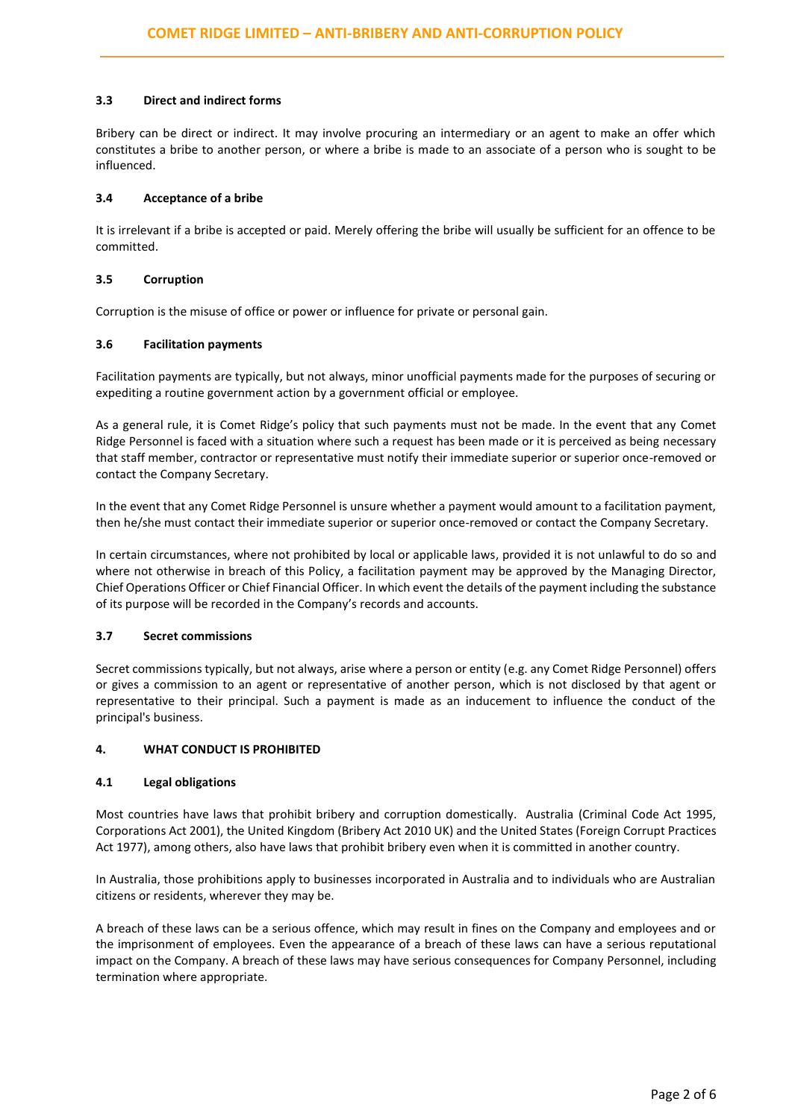# **3.3 Direct and indirect forms**

Bribery can be direct or indirect. It may involve procuring an intermediary or an agent to make an offer which constitutes a bribe to another person, or where a bribe is made to an associate of a person who is sought to be influenced.

# **3.4 Acceptance of a bribe**

It is irrelevant if a bribe is accepted or paid. Merely offering the bribe will usually be sufficient for an offence to be committed.

# **3.5 Corruption**

Corruption is the misuse of office or power or influence for private or personal gain.

# **3.6 Facilitation payments**

Facilitation payments are typically, but not always, minor unofficial payments made for the purposes of securing or expediting a routine government action by a government official or employee.

As a general rule, it is Comet Ridge's policy that such payments must not be made. In the event that any Comet Ridge Personnel is faced with a situation where such a request has been made or it is perceived as being necessary that staff member, contractor or representative must notify their immediate superior or superior once-removed or contact the Company Secretary.

In the event that any Comet Ridge Personnel is unsure whether a payment would amount to a facilitation payment, then he/she must contact their immediate superior or superior once-removed or contact the Company Secretary.

In certain circumstances, where not prohibited by local or applicable laws, provided it is not unlawful to do so and where not otherwise in breach of this Policy, a facilitation payment may be approved by the Managing Director, Chief Operations Officer or Chief Financial Officer. In which event the details of the payment including the substance of its purpose will be recorded in the Company's records and accounts.

## **3.7 Secret commissions**

Secret commissions typically, but not always, arise where a person or entity (e.g. any Comet Ridge Personnel) offers or gives a commission to an agent or representative of another person, which is not disclosed by that agent or representative to their principal. Such a payment is made as an inducement to influence the conduct of the principal's business.

## **4. WHAT CONDUCT IS PROHIBITED**

## **4.1 Legal obligations**

Most countries have laws that prohibit bribery and corruption domestically. Australia (Criminal Code Act 1995, Corporations Act 2001), the United Kingdom (Bribery Act 2010 UK) and the United States (Foreign Corrupt Practices Act 1977), among others, also have laws that prohibit bribery even when it is committed in another country.

In Australia, those prohibitions apply to businesses incorporated in Australia and to individuals who are Australian citizens or residents, wherever they may be.

A breach of these laws can be a serious offence, which may result in fines on the Company and employees and or the imprisonment of employees. Even the appearance of a breach of these laws can have a serious reputational impact on the Company. A breach of these laws may have serious consequences for Company Personnel, including termination where appropriate.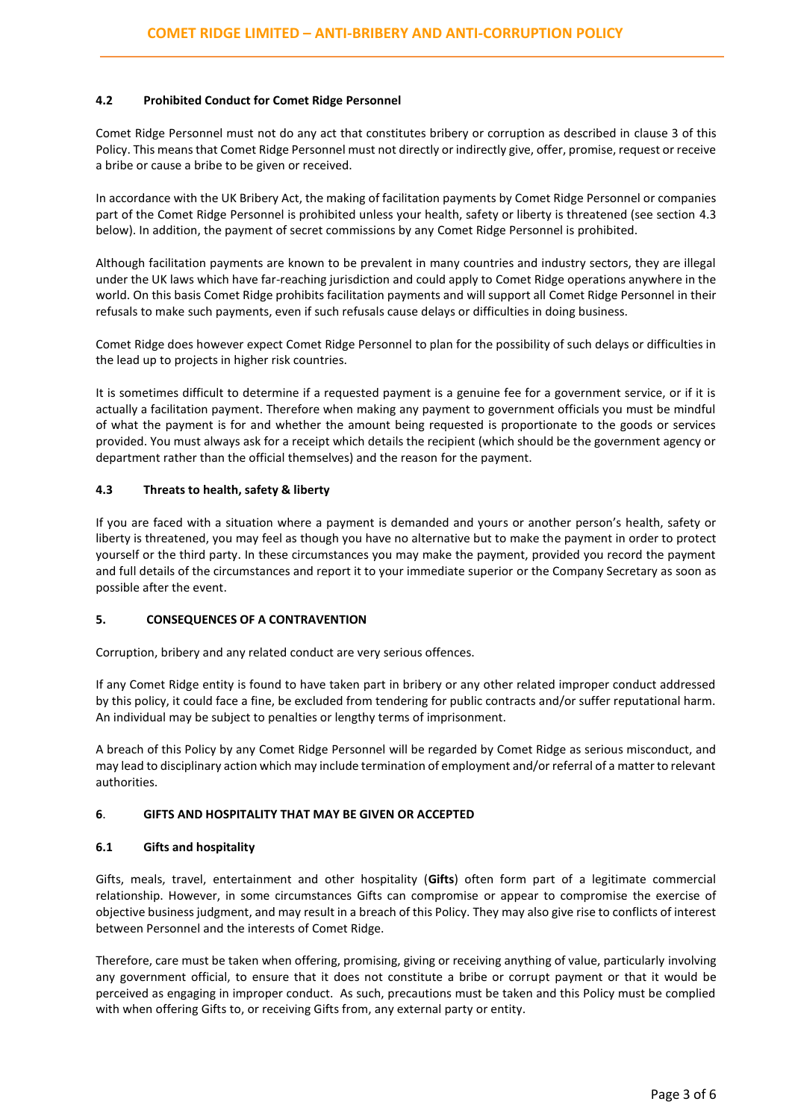## **4.2 Prohibited Conduct for Comet Ridge Personnel**

Comet Ridge Personnel must not do any act that constitutes bribery or corruption as described in clause 3 of this Policy. This means that Comet Ridge Personnel must not directly or indirectly give, offer, promise, request or receive a bribe or cause a bribe to be given or received.

In accordance with the UK Bribery Act, the making of facilitation payments by Comet Ridge Personnel or companies part of the Comet Ridge Personnel is prohibited unless your health, safety or liberty is threatened (see section 4.3 below). In addition, the payment of secret commissions by any Comet Ridge Personnel is prohibited.

Although facilitation payments are known to be prevalent in many countries and industry sectors, they are illegal under the UK laws which have far-reaching jurisdiction and could apply to Comet Ridge operations anywhere in the world. On this basis Comet Ridge prohibits facilitation payments and will support all Comet Ridge Personnel in their refusals to make such payments, even if such refusals cause delays or difficulties in doing business.

Comet Ridge does however expect Comet Ridge Personnel to plan for the possibility of such delays or difficulties in the lead up to projects in higher risk countries.

It is sometimes difficult to determine if a requested payment is a genuine fee for a government service, or if it is actually a facilitation payment. Therefore when making any payment to government officials you must be mindful of what the payment is for and whether the amount being requested is proportionate to the goods or services provided. You must always ask for a receipt which details the recipient (which should be the government agency or department rather than the official themselves) and the reason for the payment.

#### **4.3 Threats to health, safety & liberty**

If you are faced with a situation where a payment is demanded and yours or another person's health, safety or liberty is threatened, you may feel as though you have no alternative but to make the payment in order to protect yourself or the third party. In these circumstances you may make the payment, provided you record the payment and full details of the circumstances and report it to your immediate superior or the Company Secretary as soon as possible after the event.

## **5. CONSEQUENCES OF A CONTRAVENTION**

Corruption, bribery and any related conduct are very serious offences.

If any Comet Ridge entity is found to have taken part in bribery or any other related improper conduct addressed by this policy, it could face a fine, be excluded from tendering for public contracts and/or suffer reputational harm. An individual may be subject to penalties or lengthy terms of imprisonment.

A breach of this Policy by any Comet Ridge Personnel will be regarded by Comet Ridge as serious misconduct, and may lead to disciplinary action which may include termination of employment and/or referral of a matter to relevant authorities.

## **6**. **GIFTS AND HOSPITALITY THAT MAY BE GIVEN OR ACCEPTED**

## **6.1 Gifts and hospitality**

Gifts, meals, travel, entertainment and other hospitality (**Gifts**) often form part of a legitimate commercial relationship. However, in some circumstances Gifts can compromise or appear to compromise the exercise of objective business judgment, and may result in a breach of this Policy. They may also give rise to conflicts of interest between Personnel and the interests of Comet Ridge.

Therefore, care must be taken when offering, promising, giving or receiving anything of value, particularly involving any government official, to ensure that it does not constitute a bribe or corrupt payment or that it would be perceived as engaging in improper conduct. As such, precautions must be taken and this Policy must be complied with when offering Gifts to, or receiving Gifts from, any external party or entity.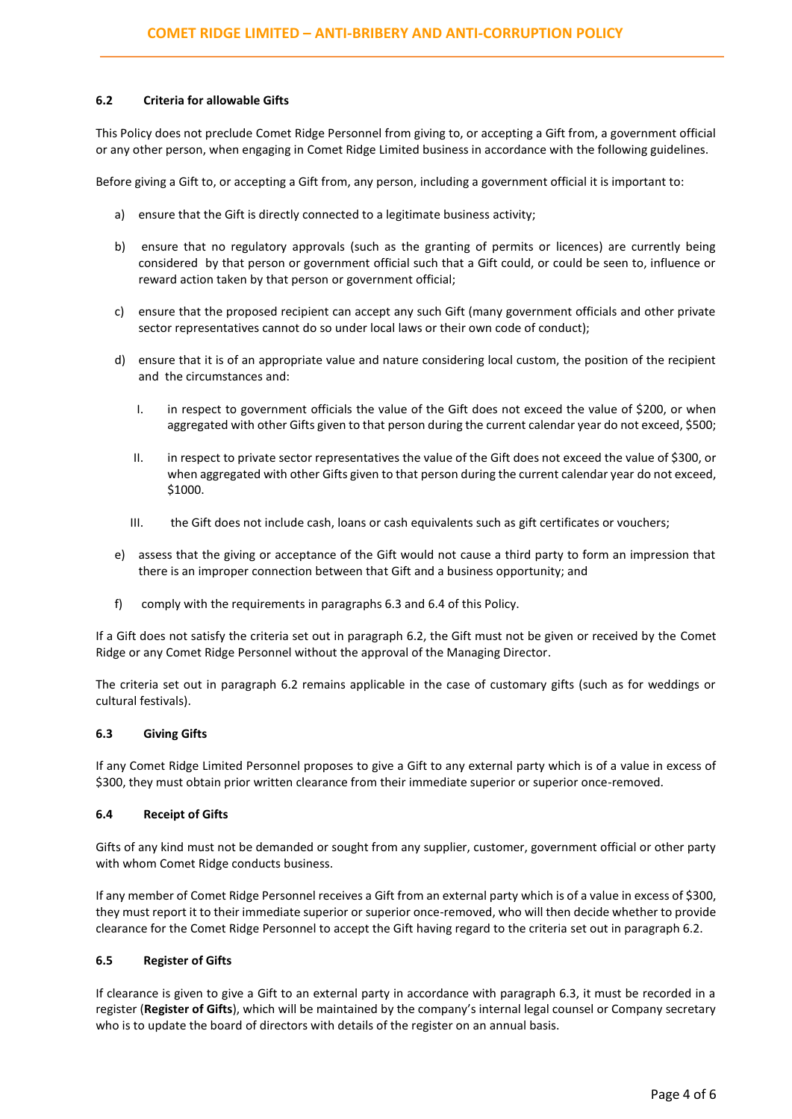#### **6.2 Criteria for allowable Gifts**

This Policy does not preclude Comet Ridge Personnel from giving to, or accepting a Gift from, a government official or any other person, when engaging in Comet Ridge Limited business in accordance with the following guidelines.

Before giving a Gift to, or accepting a Gift from, any person, including a government official it is important to:

- a) ensure that the Gift is directly connected to a legitimate business activity;
- b) ensure that no regulatory approvals (such as the granting of permits or licences) are currently being considered by that person or government official such that a Gift could, or could be seen to, influence or reward action taken by that person or government official;
- c) ensure that the proposed recipient can accept any such Gift (many government officials and other private sector representatives cannot do so under local laws or their own code of conduct);
- d) ensure that it is of an appropriate value and nature considering local custom, the position of the recipient and the circumstances and:
	- I. in respect to government officials the value of the Gift does not exceed the value of \$200, or when aggregated with other Gifts given to that person during the current calendar year do not exceed, \$500;
	- II. in respect to private sector representatives the value of the Gift does not exceed the value of \$300, or when aggregated with other Gifts given to that person during the current calendar year do not exceed, \$1000.
	- III. the Gift does not include cash, loans or cash equivalents such as gift certificates or vouchers;
- e) assess that the giving or acceptance of the Gift would not cause a third party to form an impression that there is an improper connection between that Gift and a business opportunity; and
- f) comply with the requirements in paragraphs 6.3 and 6.4 of this Policy.

If a Gift does not satisfy the criteria set out in paragraph 6.2, the Gift must not be given or received by the Comet Ridge or any Comet Ridge Personnel without the approval of the Managing Director.

The criteria set out in paragraph 6.2 remains applicable in the case of customary gifts (such as for weddings or cultural festivals).

#### **6.3 Giving Gifts**

If any Comet Ridge Limited Personnel proposes to give a Gift to any external party which is of a value in excess of \$300, they must obtain prior written clearance from their immediate superior or superior once-removed.

#### **6.4 Receipt of Gifts**

Gifts of any kind must not be demanded or sought from any supplier, customer, government official or other party with whom Comet Ridge conducts business.

If any member of Comet Ridge Personnel receives a Gift from an external party which is of a value in excess of \$300, they must report it to their immediate superior or superior once-removed, who will then decide whether to provide clearance for the Comet Ridge Personnel to accept the Gift having regard to the criteria set out in paragraph 6.2.

# **6.5 Register of Gifts**

If clearance is given to give a Gift to an external party in accordance with paragraph 6.3, it must be recorded in a register (**Register of Gifts**), which will be maintained by the company's internal legal counsel or Company secretary who is to update the board of directors with details of the register on an annual basis.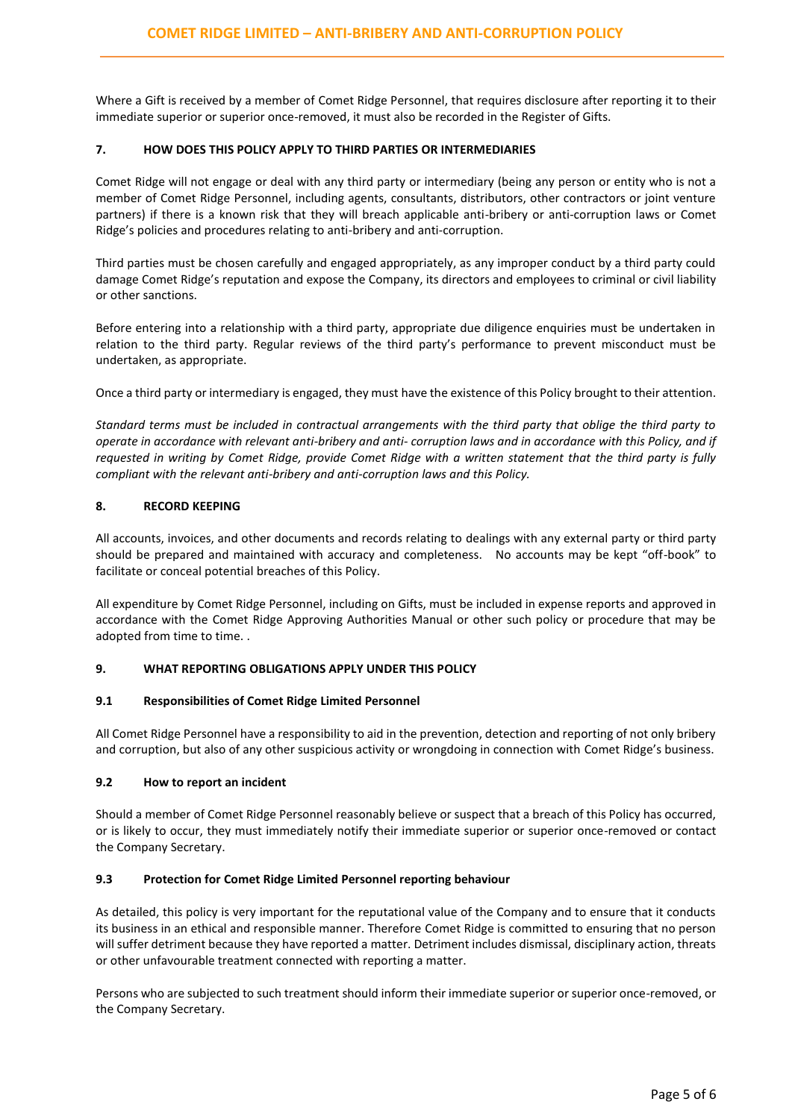Where a Gift is received by a member of Comet Ridge Personnel, that requires disclosure after reporting it to their immediate superior or superior once-removed, it must also be recorded in the Register of Gifts.

#### **7. HOW DOES THIS POLICY APPLY TO THIRD PARTIES OR INTERMEDIARIES**

Comet Ridge will not engage or deal with any third party or intermediary (being any person or entity who is not a member of Comet Ridge Personnel, including agents, consultants, distributors, other contractors or joint venture partners) if there is a known risk that they will breach applicable anti-bribery or anti-corruption laws or Comet Ridge's policies and procedures relating to anti-bribery and anti-corruption.

Third parties must be chosen carefully and engaged appropriately, as any improper conduct by a third party could damage Comet Ridge's reputation and expose the Company, its directors and employees to criminal or civil liability or other sanctions.

Before entering into a relationship with a third party, appropriate due diligence enquiries must be undertaken in relation to the third party. Regular reviews of the third party's performance to prevent misconduct must be undertaken, as appropriate.

Once a third party or intermediary is engaged, they must have the existence of this Policy brought to their attention.

*Standard terms must be included in contractual arrangements with the third party that oblige the third party to operate in accordance with relevant anti-bribery and anti- corruption laws and in accordance with this Policy, and if requested in writing by Comet Ridge, provide Comet Ridge with a written statement that the third party is fully compliant with the relevant anti-bribery and anti-corruption laws and this Policy.*

## **8. RECORD KEEPING**

All accounts, invoices, and other documents and records relating to dealings with any external party or third party should be prepared and maintained with accuracy and completeness. No accounts may be kept "off-book" to facilitate or conceal potential breaches of this Policy.

All expenditure by Comet Ridge Personnel, including on Gifts, must be included in expense reports and approved in accordance with the Comet Ridge Approving Authorities Manual or other such policy or procedure that may be adopted from time to time. .

## **9. WHAT REPORTING OBLIGATIONS APPLY UNDER THIS POLICY**

#### **9.1 Responsibilities of Comet Ridge Limited Personnel**

All Comet Ridge Personnel have a responsibility to aid in the prevention, detection and reporting of not only bribery and corruption, but also of any other suspicious activity or wrongdoing in connection with Comet Ridge's business.

## **9.2 How to report an incident**

Should a member of Comet Ridge Personnel reasonably believe or suspect that a breach of this Policy has occurred, or is likely to occur, they must immediately notify their immediate superior or superior once-removed or contact the Company Secretary.

## **9.3 Protection for Comet Ridge Limited Personnel reporting behaviour**

As detailed, this policy is very important for the reputational value of the Company and to ensure that it conducts its business in an ethical and responsible manner. Therefore Comet Ridge is committed to ensuring that no person will suffer detriment because they have reported a matter. Detriment includes dismissal, disciplinary action, threats or other unfavourable treatment connected with reporting a matter.

Persons who are subjected to such treatment should inform their immediate superior or superior once-removed, or the Company Secretary.